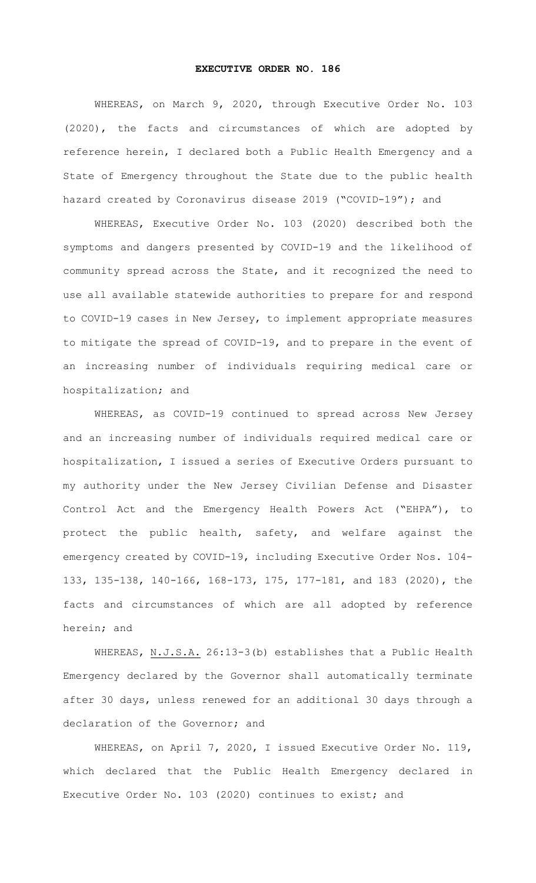## **EXECUTIVE ORDER NO. 186**

WHEREAS, on March 9, 2020, through Executive Order No. 103 (2020), the facts and circumstances of which are adopted by reference herein, I declared both a Public Health Emergency and a State of Emergency throughout the State due to the public health hazard created by Coronavirus disease 2019 ("COVID-19"); and

WHEREAS, Executive Order No. 103 (2020) described both the symptoms and dangers presented by COVID-19 and the likelihood of community spread across the State, and it recognized the need to use all available statewide authorities to prepare for and respond to COVID-19 cases in New Jersey, to implement appropriate measures to mitigate the spread of COVID-19, and to prepare in the event of an increasing number of individuals requiring medical care or hospitalization; and

WHEREAS, as COVID-19 continued to spread across New Jersey and an increasing number of individuals required medical care or hospitalization, I issued a series of Executive Orders pursuant to my authority under the New Jersey Civilian Defense and Disaster Control Act and the Emergency Health Powers Act ("EHPA"), to protect the public health, safety, and welfare against the emergency created by COVID-19, including Executive Order Nos. 104- 133, 135-138, 140-166, 168-173, 175, 177-181, and 183 (2020), the facts and circumstances of which are all adopted by reference herein; and

WHEREAS, N.J.S.A. 26:13-3(b) establishes that a Public Health Emergency declared by the Governor shall automatically terminate after 30 days, unless renewed for an additional 30 days through a declaration of the Governor; and

WHEREAS, on April 7, 2020, I issued Executive Order No. 119, which declared that the Public Health Emergency declared in Executive Order No. 103 (2020) continues to exist; and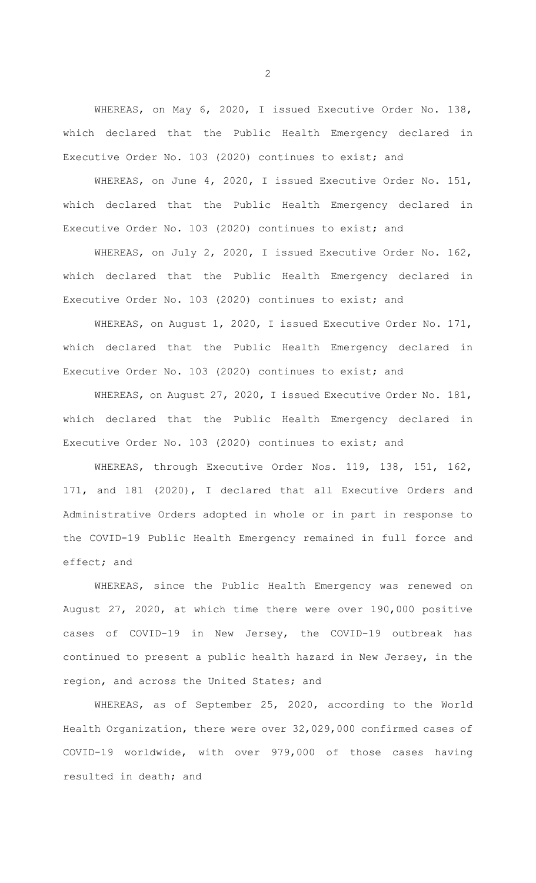WHEREAS, on May 6, 2020, I issued Executive Order No. 138, which declared that the Public Health Emergency declared in Executive Order No. 103 (2020) continues to exist; and

WHEREAS, on June 4, 2020, I issued Executive Order No. 151, which declared that the Public Health Emergency declared in Executive Order No. 103 (2020) continues to exist; and

WHEREAS, on July 2, 2020, I issued Executive Order No. 162, which declared that the Public Health Emergency declared in Executive Order No. 103 (2020) continues to exist; and

WHEREAS, on August 1, 2020, I issued Executive Order No. 171, which declared that the Public Health Emergency declared in Executive Order No. 103 (2020) continues to exist; and

WHEREAS, on August 27, 2020, I issued Executive Order No. 181, which declared that the Public Health Emergency declared in Executive Order No. 103 (2020) continues to exist; and

WHEREAS, through Executive Order Nos. 119, 138, 151, 162, 171, and 181 (2020), I declared that all Executive Orders and Administrative Orders adopted in whole or in part in response to the COVID-19 Public Health Emergency remained in full force and effect; and

WHEREAS, since the Public Health Emergency was renewed on August 27, 2020, at which time there were over 190,000 positive cases of COVID-19 in New Jersey, the COVID-19 outbreak has continued to present a public health hazard in New Jersey, in the region, and across the United States; and

WHEREAS, as of September 25, 2020, according to the World Health Organization, there were over 32,029,000 confirmed cases of COVID-19 worldwide, with over 979,000 of those cases having resulted in death; and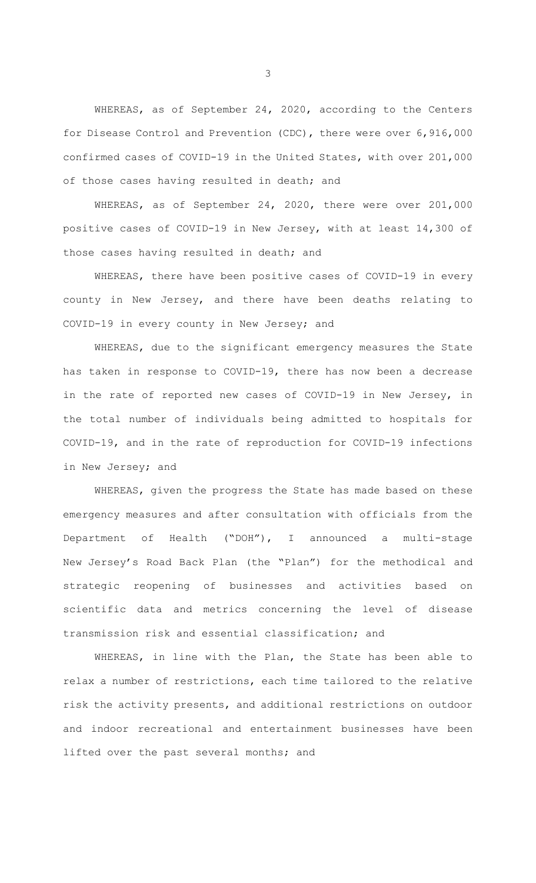WHEREAS, as of September 24, 2020, according to the Centers for Disease Control and Prevention (CDC), there were over 6,916,000 confirmed cases of COVID-19 in the United States, with over 201,000 of those cases having resulted in death; and

WHEREAS, as of September 24, 2020, there were over 201,000 positive cases of COVID-19 in New Jersey, with at least 14,300 of those cases having resulted in death; and

WHEREAS, there have been positive cases of COVID-19 in every county in New Jersey, and there have been deaths relating to COVID-19 in every county in New Jersey; and

WHEREAS, due to the significant emergency measures the State has taken in response to COVID-19, there has now been a decrease in the rate of reported new cases of COVID-19 in New Jersey, in the total number of individuals being admitted to hospitals for COVID-19, and in the rate of reproduction for COVID-19 infections in New Jersey; and

WHEREAS, given the progress the State has made based on these emergency measures and after consultation with officials from the Department of Health ("DOH"), I announced a multi-stage New Jersey's Road Back Plan (the "Plan") for the methodical and strategic reopening of businesses and activities based on scientific data and metrics concerning the level of disease transmission risk and essential classification; and

WHEREAS, in line with the Plan, the State has been able to relax a number of restrictions, each time tailored to the relative risk the activity presents, and additional restrictions on outdoor and indoor recreational and entertainment businesses have been lifted over the past several months; and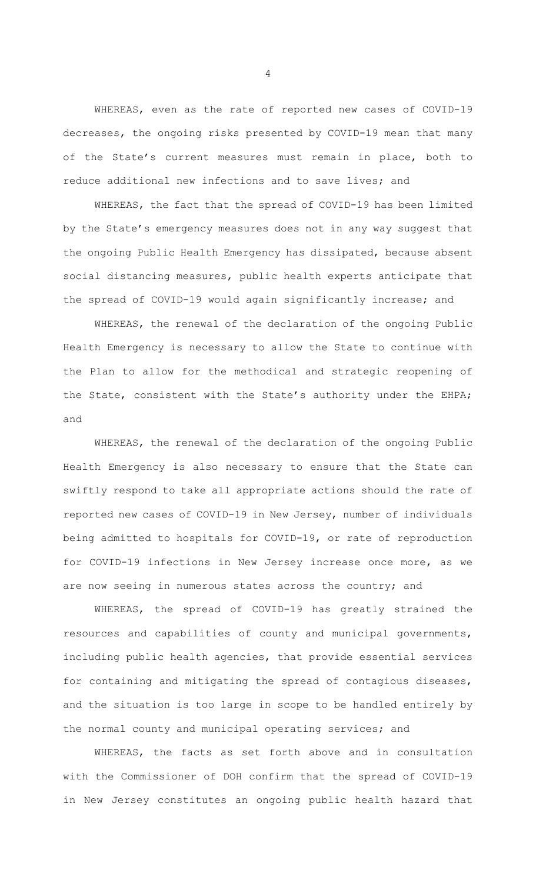WHEREAS, even as the rate of reported new cases of COVID-19 decreases, the ongoing risks presented by COVID-19 mean that many of the State's current measures must remain in place, both to reduce additional new infections and to save lives; and

WHEREAS, the fact that the spread of COVID-19 has been limited by the State's emergency measures does not in any way suggest that the ongoing Public Health Emergency has dissipated, because absent social distancing measures, public health experts anticipate that the spread of COVID-19 would again significantly increase; and

WHEREAS, the renewal of the declaration of the ongoing Public Health Emergency is necessary to allow the State to continue with the Plan to allow for the methodical and strategic reopening of the State, consistent with the State's authority under the EHPA; and

WHEREAS, the renewal of the declaration of the ongoing Public Health Emergency is also necessary to ensure that the State can swiftly respond to take all appropriate actions should the rate of reported new cases of COVID-19 in New Jersey, number of individuals being admitted to hospitals for COVID-19, or rate of reproduction for COVID-19 infections in New Jersey increase once more, as we are now seeing in numerous states across the country; and

WHEREAS, the spread of COVID-19 has greatly strained the resources and capabilities of county and municipal governments, including public health agencies, that provide essential services for containing and mitigating the spread of contagious diseases, and the situation is too large in scope to be handled entirely by the normal county and municipal operating services; and

WHEREAS, the facts as set forth above and in consultation with the Commissioner of DOH confirm that the spread of COVID-19 in New Jersey constitutes an ongoing public health hazard that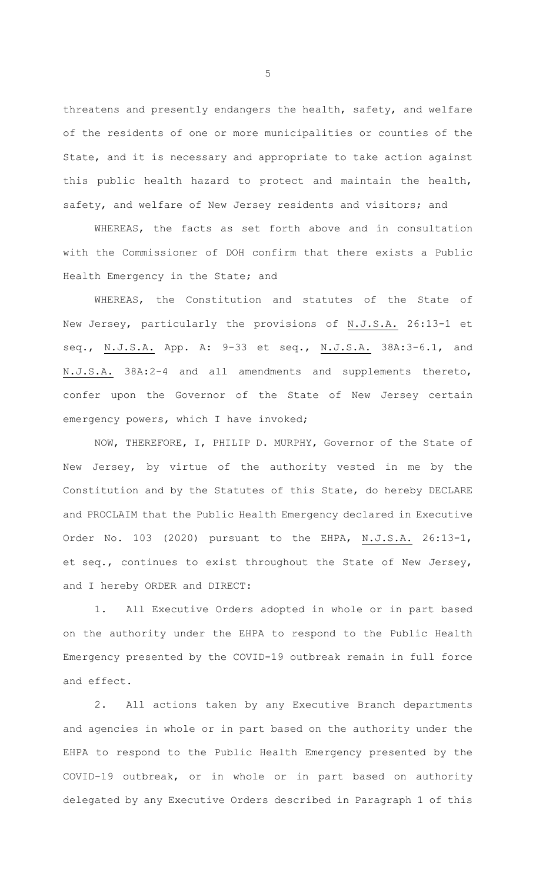threatens and presently endangers the health, safety, and welfare of the residents of one or more municipalities or counties of the State, and it is necessary and appropriate to take action against this public health hazard to protect and maintain the health, safety, and welfare of New Jersey residents and visitors; and

WHEREAS, the facts as set forth above and in consultation with the Commissioner of DOH confirm that there exists a Public Health Emergency in the State; and

WHEREAS, the Constitution and statutes of the State of New Jersey, particularly the provisions of N.J.S.A. 26:13-1 et seq., N.J.S.A. App. A: 9-33 et seq., N.J.S.A. 38A:3-6.1, and N.J.S.A. 38A:2-4 and all amendments and supplements thereto, confer upon the Governor of the State of New Jersey certain emergency powers, which I have invoked;

NOW, THEREFORE, I, PHILIP D. MURPHY, Governor of the State of New Jersey, by virtue of the authority vested in me by the Constitution and by the Statutes of this State, do hereby DECLARE and PROCLAIM that the Public Health Emergency declared in Executive Order No. 103 (2020) pursuant to the EHPA, N.J.S.A. 26:13-1, et seq., continues to exist throughout the State of New Jersey, and I hereby ORDER and DIRECT:

1. All Executive Orders adopted in whole or in part based on the authority under the EHPA to respond to the Public Health Emergency presented by the COVID-19 outbreak remain in full force and effect.

2. All actions taken by any Executive Branch departments and agencies in whole or in part based on the authority under the EHPA to respond to the Public Health Emergency presented by the COVID-19 outbreak, or in whole or in part based on authority delegated by any Executive Orders described in Paragraph 1 of this